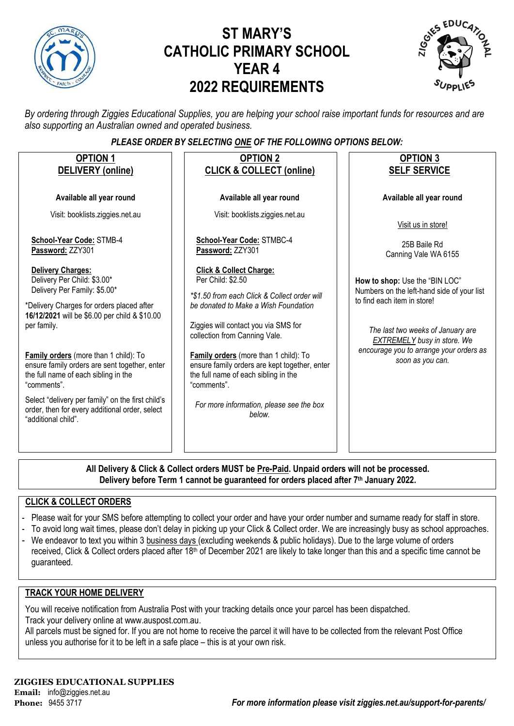

# **ST MARY'S CATHOLIC PRIMARY SCHOOL YEAR 4 2022 REQUIREMENTS**



*By ordering through Ziggies Educational Supplies, you are helping your school raise important funds for resources and are also supporting an Australian owned and operated business.*

#### *PLEASE ORDER BY SELECTING ONE OF THE FOLLOWING OPTIONS BELOW:*

| <b>OPTION 1</b><br>DELIVERY (online)                                                                                                                                                                 | <b>OPTION 2</b><br><b>CLICK &amp; COLLECT (online)</b>                                                                                                                                                                   | <b>OPTION 3</b><br><b>SELF SERVICE</b>                                                                                                                                                 |
|------------------------------------------------------------------------------------------------------------------------------------------------------------------------------------------------------|--------------------------------------------------------------------------------------------------------------------------------------------------------------------------------------------------------------------------|----------------------------------------------------------------------------------------------------------------------------------------------------------------------------------------|
| Available all year round                                                                                                                                                                             | Available all year round                                                                                                                                                                                                 | Available all year round                                                                                                                                                               |
| Visit: booklists.ziggies.net.au                                                                                                                                                                      | Visit: booklists.ziggies.net.au                                                                                                                                                                                          | Visit us in store!                                                                                                                                                                     |
| School-Year Code: STMB-4<br>Password: ZZY301                                                                                                                                                         | School-Year Code: STMBC-4<br>Password: ZZY301                                                                                                                                                                            | 25B Baile Rd<br>Canning Vale WA 6155                                                                                                                                                   |
| <b>Delivery Charges:</b><br>Delivery Per Child: \$3.00*<br>Delivery Per Family: \$5.00*<br>*Delivery Charges for orders placed after<br>16/12/2021 will be \$6.00 per child & \$10.00<br>per family. | <b>Click &amp; Collect Charge:</b><br>Per Child: \$2.50<br>*\$1.50 from each Click & Collect order will<br>be donated to Make a Wish Foundation<br>Ziggies will contact you via SMS for<br>collection from Canning Vale. | How to shop: Use the "BIN LOC"<br>Numbers on the left-hand side of your list<br>to find each item in store!<br>The last two weeks of January are<br><b>EXTREMELY</b> busy in store. We |
| Family orders (more than 1 child): To<br>ensure family orders are sent together, enter<br>the full name of each sibling in the<br>"comments".                                                        | Family orders (more than 1 child): To<br>ensure family orders are kept together, enter<br>the full name of each sibling in the<br>"comments".                                                                            | encourage you to arrange your orders as<br>soon as you can.                                                                                                                            |
| Select "delivery per family" on the first child's<br>order, then for every additional order, select<br>"additional child".                                                                           | For more information, please see the box<br>below.                                                                                                                                                                       |                                                                                                                                                                                        |
| $AD = 11$<br>0.011100011111                                                                                                                                                                          | <b>MURTL D., D.U. U., J., J., J.</b>                                                                                                                                                                                     |                                                                                                                                                                                        |

**All Delivery & Click & Collect orders MUST be Pre-Paid. Unpaid orders will not be processed. Delivery before Term 1 cannot be guaranteed for orders placed after 7th January 2022.**

#### **CLICK & COLLECT ORDERS**

- Please wait for your SMS before attempting to collect your order and have your order number and surname ready for staff in store.
- To avoid long wait times, please don't delay in picking up your Click & Collect order. We are increasingly busy as school approaches.
- We endeavor to text you within 3 business days (excluding weekends & public holidays). Due to the large volume of orders received, Click & Collect orders placed after 18<sup>th</sup> of December 2021 are likely to take longer than this and a specific time cannot be guaranteed.

#### **TRACK YOUR HOME DELIVERY**

You will receive notification from Australia Post with your tracking details once your parcel has been dispatched. Track your delivery online a[t www.auspost.com.au.](http://www.auspost.com.au/)

All parcels must be signed for. If you are not home to receive the parcel it will have to be collected from the relevant Post Office unless you authorise for it to be left in a safe place – this is at your own risk.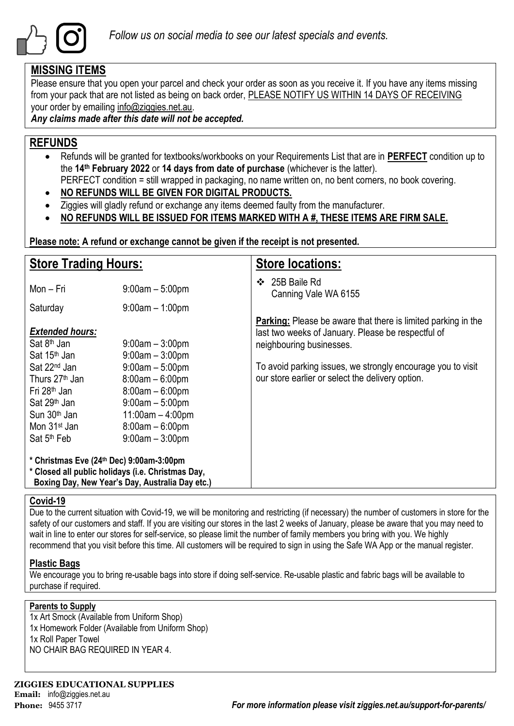

### **MISSING ITEMS**

Please ensure that you open your parcel and check your order as soon as you receive it. If you have any items missing from your pack that are not listed as being on back order, PLEASE NOTIFY US WITHIN 14 DAYS OF RECEIVING your order by emailing info@ziggies.net.au.

*Any claims made after this date will not be accepted.*

## **REFUNDS**

- Refunds will be granted for textbooks/workbooks on your Requirements List that are in **PERFECT** condition up to the **14th February 2022** or **14 days from date of purchase** (whichever is the latter). PERFECT condition = still wrapped in packaging, no name written on, no bent corners, no book covering.
- **NO REFUNDS WILL BE GIVEN FOR DIGITAL PRODUCTS.**
- Ziggies will gladly refund or exchange any items deemed faulty from the manufacturer.
- **NO REFUNDS WILL BE ISSUED FOR ITEMS MARKED WITH A #, THESE ITEMS ARE FIRM SALE.**

**Please note: A refund or exchange cannot be given if the receipt is not presented.**

| <b>Store Trading Hours:</b>                                                                                                                                                                       |                                                                                                                                                  | <b>Store locations:</b>                                                                                                                                |
|---------------------------------------------------------------------------------------------------------------------------------------------------------------------------------------------------|--------------------------------------------------------------------------------------------------------------------------------------------------|--------------------------------------------------------------------------------------------------------------------------------------------------------|
| Mon - Fri                                                                                                                                                                                         | $9:00am - 5:00pm$                                                                                                                                | 25B Baile Rd<br>❖<br>Canning Vale WA 6155                                                                                                              |
| Saturday                                                                                                                                                                                          | $9:00am - 1:00pm$                                                                                                                                |                                                                                                                                                        |
| <b>Extended hours:</b><br>Sat 8 <sup>th</sup> Jan<br>Sat 15 <sup>th</sup> Jan                                                                                                                     | $9:00$ am $-3:00$ pm<br>$9:00am - 3:00pm$                                                                                                        | <b>Parking:</b> Please be aware that there is limited parking in the<br>last two weeks of January. Please be respectful of<br>neighbouring businesses. |
| Sat 22 <sup>nd</sup> Jan<br>Thurs 27 <sup>th</sup> Jan<br>Fri 28 <sup>th</sup> Jan<br>Sat 29 <sup>th</sup> Jan<br>Sun 30 <sup>th</sup> Jan<br>Mon 31 <sup>st</sup> Jan<br>Sat 5 <sup>th</sup> Feb | $9:00am - 5:00pm$<br>$8:00am - 6:00pm$<br>$8:00am - 6:00pm$<br>$9:00am - 5:00pm$<br>$11:00am - 4:00pm$<br>$8:00am - 6:00pm$<br>$9:00am - 3:00pm$ | To avoid parking issues, we strongly encourage you to visit<br>our store earlier or select the delivery option.                                        |
| * Christmas Eve (24th Dec) 9:00am-3:00pm<br>* Closed all public holidays (i.e. Christmas Day,                                                                                                     | Boxing Day, New Year's Day, Australia Day etc.)                                                                                                  |                                                                                                                                                        |

#### **Covid-19**

Due to the current situation with Covid-19, we will be monitoring and restricting (if necessary) the number of customers in store for the safety of our customers and staff. If you are visiting our stores in the last 2 weeks of January, please be aware that you may need to wait in line to enter our stores for self-service, so please limit the number of family members you bring with you. We highly recommend that you visit before this time. All customers will be required to sign in using the Safe WA App or the manual register.

#### **Plastic Bags**

We encourage you to bring re-usable bags into store if doing self-service. Re-usable plastic and fabric bags will be available to purchase if required.

#### **Parents to Supply**

1x Art Smock (Available from Uniform Shop) 1x Homework Folder (Available from Uniform Shop) 1x Roll Paper Towel NO CHAIR BAG REQUIRED IN YEAR 4.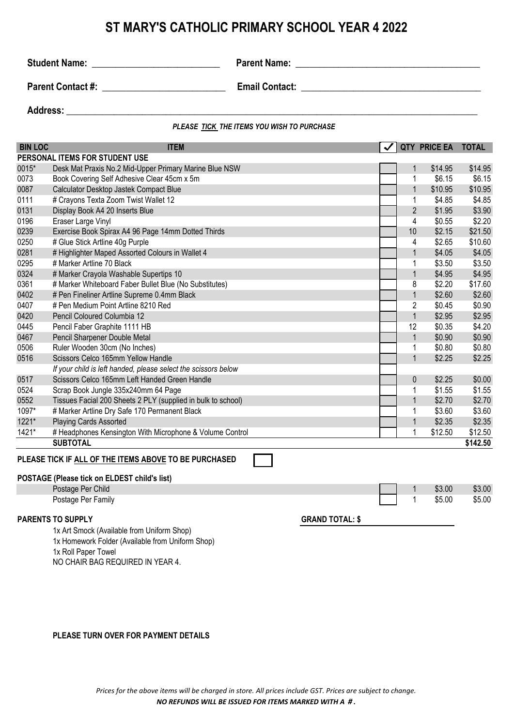## **ST MARY'S CATHOLIC PRIMARY SCHOOL YEAR 4 2022**

**Student Name:** \_\_\_\_\_\_\_\_\_\_\_\_\_\_\_\_\_\_\_\_\_\_\_\_\_\_\_ **Parent Name: \_\_\_\_\_\_\_\_\_\_\_\_\_\_\_\_\_\_\_\_\_\_\_\_\_\_\_\_\_\_\_\_\_\_\_\_\_\_\_**

**Parent Contact #: example 2 example 2 Email Contact:**  $\blacksquare$ 

Address: **and a set of the set of the set of the set of the set of the set of the set of the set of the set of the set of the set of the set of the set of the set of the set of the set of the set of the set of the set of t** 

*PLEASE TICK THE ITEMS YOU WISH TO PURCHASE*

| <b>BIN LOC</b> | <b>ITEM</b>                                                    |                        |                         | QTY PRICE EA | <b>TOTAL</b> |
|----------------|----------------------------------------------------------------|------------------------|-------------------------|--------------|--------------|
|                | PERSONAL ITEMS FOR STUDENT USE                                 |                        |                         |              |              |
| 0015*          | Desk Mat Praxis No.2 Mid-Upper Primary Marine Blue NSW         |                        | $\mathbf 1$             | \$14.95      | \$14.95      |
| 0073           | Book Covering Self Adhesive Clear 45cm x 5m                    |                        | 1                       | \$6.15       | \$6.15       |
| 0087           | Calculator Desktop Jastek Compact Blue                         |                        | $\mathbf{1}$            | \$10.95      | \$10.95      |
| 0111           | # Crayons Texta Zoom Twist Wallet 12                           |                        | 1                       | \$4.85       | \$4.85       |
| 0131           | Display Book A4 20 Inserts Blue                                |                        | $\overline{2}$          | \$1.95       | \$3.90       |
| 0196           | Eraser Large Vinyl                                             |                        | $\overline{\mathbf{4}}$ | \$0.55       | \$2.20       |
| 0239           | Exercise Book Spirax A4 96 Page 14mm Dotted Thirds             |                        | 10                      | \$2.15       | \$21.50      |
| 0250           | # Glue Stick Artline 40g Purple                                |                        | 4                       | \$2.65       | \$10.60      |
| 0281           | # Highlighter Maped Assorted Colours in Wallet 4               |                        | $\mathbf{1}$            | \$4.05       | \$4.05       |
| 0295           | # Marker Artline 70 Black                                      |                        | 1                       | \$3.50       | \$3.50       |
| 0324           | # Marker Crayola Washable Supertips 10                         |                        | $\mathbf{1}$            | \$4.95       | \$4.95       |
| 0361           | # Marker Whiteboard Faber Bullet Blue (No Substitutes)         |                        | 8                       | \$2.20       | \$17.60      |
| 0402           | # Pen Fineliner Artline Supreme 0.4mm Black                    |                        | $\mathbf{1}$            | \$2.60       | \$2.60       |
| 0407           | # Pen Medium Point Artline 8210 Red                            |                        | $\overline{c}$          | \$0.45       | \$0.90       |
| 0420           | Pencil Coloured Columbia 12                                    |                        | $\mathbf{1}$            | \$2.95       | \$2.95       |
| 0445           | Pencil Faber Graphite 1111 HB                                  |                        | 12                      | \$0.35       | \$4.20       |
| 0467           | Pencil Sharpener Double Metal                                  |                        | $\mathbf{1}$            | \$0.90       | \$0.90       |
| 0506           | Ruler Wooden 30cm (No Inches)                                  |                        | 1                       | \$0.80       | \$0.80       |
| 0516           | Scissors Celco 165mm Yellow Handle                             |                        | $\mathbf{1}$            | \$2.25       | \$2.25       |
|                | If your child is left handed, please select the scissors below |                        |                         |              |              |
| 0517           | Scissors Celco 165mm Left Handed Green Handle                  |                        | 0                       | \$2.25       | \$0.00       |
| 0524           | Scrap Book Jungle 335x240mm 64 Page                            |                        | 1                       | \$1.55       | \$1.55       |
| 0552           | Tissues Facial 200 Sheets 2 PLY (supplied in bulk to school)   |                        | $\mathbf{1}$            | \$2.70       | \$2.70       |
| 1097*          | # Marker Artline Dry Safe 170 Permanent Black                  |                        | 1                       | \$3.60       | \$3.60       |
| 1221*          | Playing Cards Assorted                                         |                        | $\mathbf{1}$            | \$2.35       | \$2.35       |
| 1421*          | # Headphones Kensington With Microphone & Volume Control       |                        | 1                       | \$12.50      | \$12.50      |
|                | <b>SUBTOTAL</b>                                                |                        |                         |              | \$142.50     |
|                | PLEASE TICK IF ALL OF THE ITEMS ABOVE TO BE PURCHASED          |                        |                         |              |              |
|                |                                                                |                        |                         |              |              |
|                | POSTAGE (Please tick on ELDEST child's list)                   |                        |                         |              |              |
|                | Postage Per Child                                              |                        | 1                       | \$3.00       | \$3.00       |
|                | Postage Per Family                                             |                        | 1                       | \$5.00       | \$5.00       |
|                | <b>PARENTS TO SUPPLY</b>                                       | <b>GRAND TOTAL: \$</b> |                         |              |              |
|                | 1x Art Smock (Available from Uniform Shop)                     |                        |                         |              |              |
|                | 1x Homework Folder (Available from Uniform Shop)               |                        |                         |              |              |
|                | 1x Roll Paper Towel                                            |                        |                         |              |              |
|                | NO CHAIR BAG REQUIRED IN YEAR 4.                               |                        |                         |              |              |

**PLEASE TURN OVER FOR PAYMENT DETAILS**